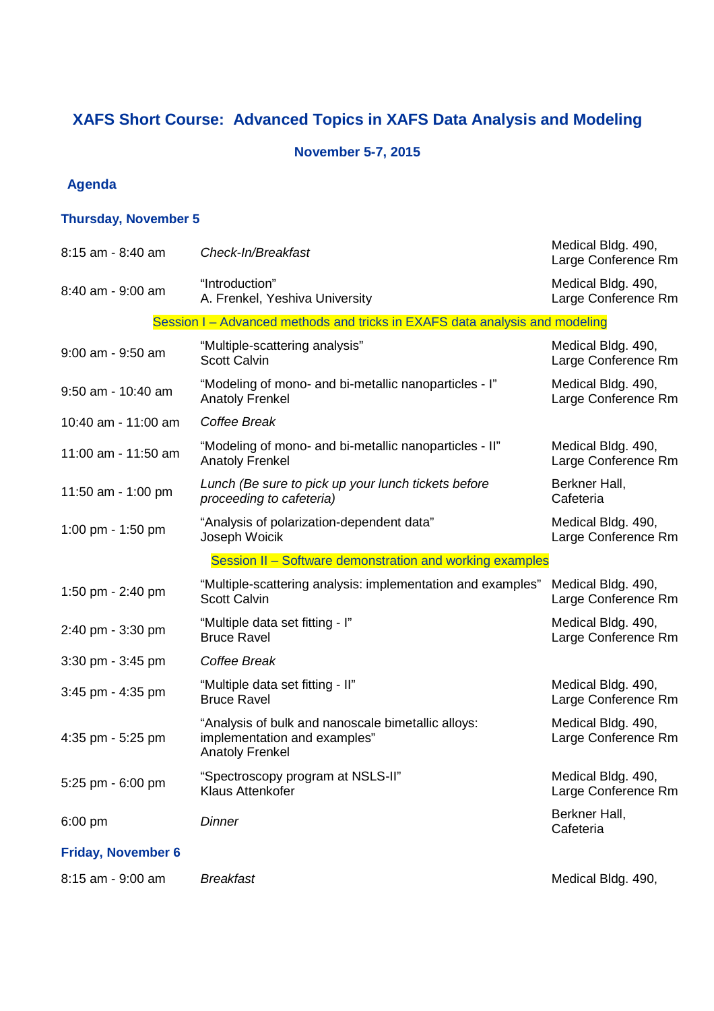# **XAFS Short Course: Advanced Topics in XAFS Data Analysis and Modeling**

#### **November 5-7, 2015**

### **Agenda**

### **Thursday, November 5**

| 8:15 am - 8:40 am         | Check-In/Breakfast                                                                                           | Medical Bldg. 490,<br>Large Conference Rm |
|---------------------------|--------------------------------------------------------------------------------------------------------------|-------------------------------------------|
| 8:40 am - 9:00 am         | "Introduction"<br>A. Frenkel, Yeshiva University                                                             | Medical Bldg. 490,<br>Large Conference Rm |
|                           | Session I – Advanced methods and tricks in EXAFS data analysis and modeling                                  |                                           |
| 9:00 am - 9:50 am         | "Multiple-scattering analysis"<br><b>Scott Calvin</b>                                                        | Medical Bldg. 490,<br>Large Conference Rm |
| 9:50 am - 10:40 am        | "Modeling of mono- and bi-metallic nanoparticles - I"<br><b>Anatoly Frenkel</b>                              | Medical Bldg. 490,<br>Large Conference Rm |
| 10:40 am - 11:00 am       | Coffee Break                                                                                                 |                                           |
| 11:00 am - 11:50 am       | "Modeling of mono- and bi-metallic nanoparticles - II"<br><b>Anatoly Frenkel</b>                             | Medical Bldg. 490,<br>Large Conference Rm |
| 11:50 am - 1:00 pm        | Lunch (Be sure to pick up your lunch tickets before<br>proceeding to cafeteria)                              | Berkner Hall,<br>Cafeteria                |
| 1:00 pm - 1:50 pm         | "Analysis of polarization-dependent data"<br>Joseph Woicik                                                   | Medical Bldg. 490,<br>Large Conference Rm |
|                           | Session II - Software demonstration and working examples                                                     |                                           |
| 1:50 pm - 2:40 pm         | "Multiple-scattering analysis: implementation and examples"<br><b>Scott Calvin</b>                           | Medical Bldg. 490,<br>Large Conference Rm |
| 2:40 pm - 3:30 pm         | "Multiple data set fitting - I"<br><b>Bruce Ravel</b>                                                        | Medical Bldg. 490,<br>Large Conference Rm |
| $3:30$ pm - $3:45$ pm     | Coffee Break                                                                                                 |                                           |
| $3:45$ pm - $4:35$ pm     | "Multiple data set fitting - II"<br><b>Bruce Ravel</b>                                                       | Medical Bldg. 490,<br>Large Conference Rm |
| 4:35 pm - 5:25 pm         | "Analysis of bulk and nanoscale bimetallic alloys:<br>implementation and examples"<br><b>Anatoly Frenkel</b> | Medical Bldg. 490,<br>Large Conference Rm |
| 5:25 pm - 6:00 pm         | "Spectroscopy program at NSLS-II"<br>Klaus Attenkofer                                                        | Medical Bldg. 490,<br>Large Conference Rm |
| $6:00$ pm                 | <b>Dinner</b>                                                                                                | Berkner Hall,<br>Cafeteria                |
| <b>Friday, November 6</b> |                                                                                                              |                                           |
| 8:15 am - 9:00 am         | <b>Breakfast</b>                                                                                             | Medical Bldg. 490,                        |